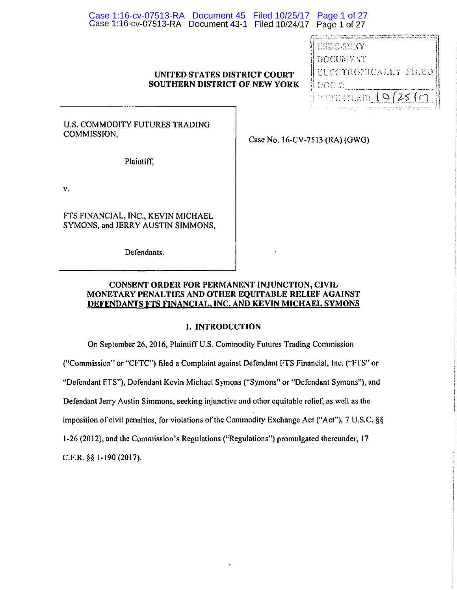| Case 1:16-cv-07513-RA Document 45 Filed 10/25/17 Page 1 of 27<br>Case 1:16-cv-07513-RA Document 43-1 Filed 10/24/17 Page 1 of 27 |                                |                                                                                                                                                                                                                                                                                                                                                                                                         |
|----------------------------------------------------------------------------------------------------------------------------------|--------------------------------|---------------------------------------------------------------------------------------------------------------------------------------------------------------------------------------------------------------------------------------------------------------------------------------------------------------------------------------------------------------------------------------------------------|
| UNITED STATES DISTRICT COURT<br><b>SOUTHERN DISTRICT OF NEW YORK</b>                                                             |                                | ት አንድ ውስጥ የአገልግ የአገልግሎት የሚገኙ የተመለከተው የሚመለክት የአገልግሎት የሚመለከተው የሚመለክ የሚመለክ የመከተኛ አንድ የሚመለክ አማርኛ አንድ የሚገኙ የሚመለክ የሚ<br>одината в село в 1922 година со от откритите на селото на селото на селото се селото на селото на селото на сел<br>USDC-SDNY<br>DOCUMENT<br>ELECTRONICALLY FILED<br>DOC#:<br><b>BATE SILED:</b><br>and security of the second and the first second control control of the second con- |
| U.S. COMMODITY FUTURES TRADING<br>COMMISSION,                                                                                    | Case No. 16-CV-7513 (RA) (GWG) |                                                                                                                                                                                                                                                                                                                                                                                                         |
| Plaintiff,                                                                                                                       |                                |                                                                                                                                                                                                                                                                                                                                                                                                         |
| ٧.                                                                                                                               |                                |                                                                                                                                                                                                                                                                                                                                                                                                         |

FTS FINANCIAL, INC., KEVIN MICHAEL SYMONS, and JERRY AUSTIN SIMMONS,

v.

Defendants.

## CONSENT ORDER FOR PERMANENT INJUNCTION, CIVIL MONETARY PENALTIES AND OTHER EQUITABLE RELIEF AGAINST DEFENDANTS FTS FINANCIAL, INC. AND KEVIN MICHAEL SYMONS

## I. INTRODUCTION

On September 26, 2016, Plaintiff U.S. Commodity Futures Trading Commission ("Commission" or "CFTC") filed a Complaint against Defendant FTS Financial, Inc. ("FTS" or "Defendant FTS"), Defendant Kevin Michael Symons ("Symons" or "Defendant Symons"), and Defendant Jerry Austin Simmons, seeking injunctive and other equitable relief, as well as the imposition of civil penalties, for violations of the Commodity Exchange Act ("Act"), 7 U.S.C. §§ 1-26(2012), and the Commission's Regulations ("Regulations") promulgated thereunder, 17 C.F.R. §§ 1-190 (2017).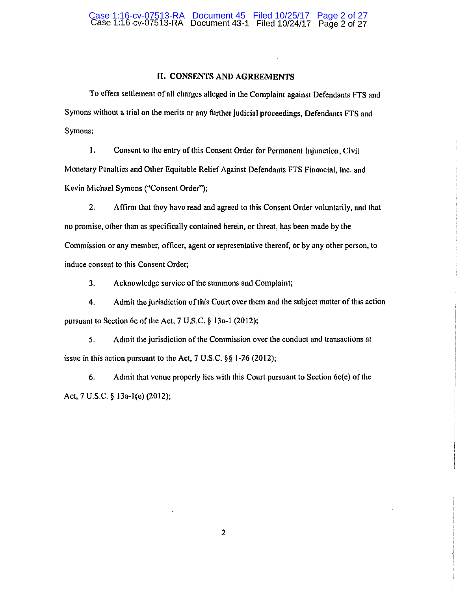#### II, CONSENTS AND AGREEMENTS

To effect settlement of all charges alleged in the Complaint against Defendants FTS and Symons without a trial on the merits or any further judicial proceedings, Defendants FTS and Symons:

I. Consent to the entry of this Consent Order for Permanent Injunction, Civil Monetary Penalties and Other Equitable Relief Against Defendants FTS Financial, Inc. and Kevin Michael Symons ("Consent Order");

2. Affirm that they have read and agreed to this Consent Order voluntarily, and that no promise, other than as specifically contained herein, or threat, has been made by the Commission or any member, officer, agent or representative thereof, or by any other person, to induce consent to this Consent Order;

3. Acknowledge service of the summons and Complaint;

4. Admit the jurisdiction of this Court over them and the subject matter of this action pursuant to Section 6c of the Act, 7 U.S.C. § 13a-1 (2012);

5. Admit the jurisdiction of the Commission over the conduct and transactions at issue in this action pursuant to the Act, 7 U.S.C. §§ 1-26(2012);

6. Admit that venue properly lies with this Court pursuant to Section 6c(e) of the Act, 7 U.S.C. § 13a-l(e) (2012);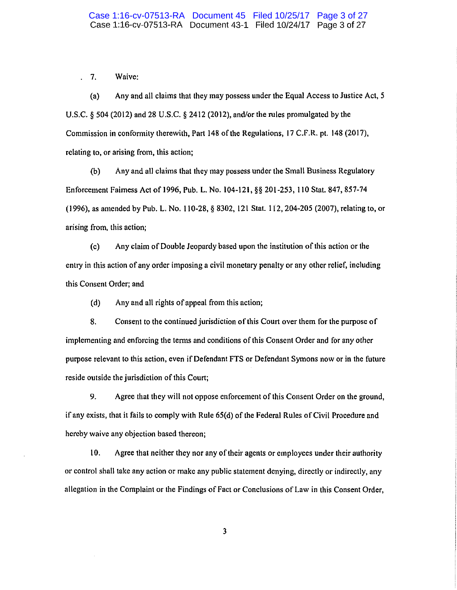7. Waive: l.

(a) Any and all claims that they may possess under the Equal Access to Justice Act, 5 U.S.C. § 504 (2012) and 28 U.S.C. § 2412 (2012), and/or the rules promulgated by the Commission in conformity therewith, Part 148 of the Regulations, 17 C.F.R. pt. 148 (2017), relating to, or arising from, this action;

(b) Any and all claims that they may possess under the Small Business Regulatory Enforcement Fairness Act of 1996, Pub. L. No. 104-121, §§ 201-253, 110 Stat. 847, 857-74 (1996), as amended by Pub. L. No. 110-28, § 8302, 121Stat.112, 204-205 (2007), relating to, or arising from, this action;

(c) Any claim of Double Jeopardy based upon the institution of this action or the entry in this action of any order imposing a civil monetary penalty or any other relief, including this Consent Order; and

(d) Any and all rights of appeal from this action;

8. Consent to the continued jurisdiction of this Court over them for the purpose of implementing and enforcing the terms and conditions of this Consent Order and for any other purpose relevant to this action, even if Defendant FTS or Defendant Symons now or in the future reside outside the jurisdiction of this Court;

9. Agree that they will not oppose enforcement of this Consent Order on the ground, if any exists, that it fails to comply with Rule 65(d) of the Federal Rules of Civil Procedure and hereby waive any objection based thereon;

10. Agree that neither they nor any of their agents or employees under their authority or control shall take any action or make any public statement denying, directly or indirectly, any allegation in the Complaint or the Findings of Fact or Conclusions of Law in this Consent Order,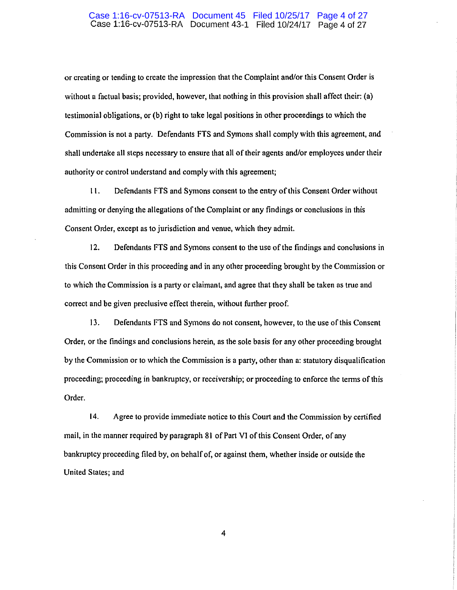#### Case 1:16-cv-07513-RA Document 45 Filed 10/25/17 Page 4 of 27 Case 1:16-cv-07513-RA Document 43-1 Filed 10/24/17 Page 4 of 27

or creating or tending to create the impression that the Complaint and/or this Consent Order is without a factual basis; provided, however, that nothing in this provision shall affect their: (a) testimonial obligations, or (b) right to take legal positions in other proceedings to which the Commission is not a party. Defendants FTS and Symons shall comply with this agreement, and shall undertake all steps necessary to ensure that all of their agents and/or employees under their authority or control understand and comply with this agreement;

11. De fondants FTS and Symons consent to the entry of this Consent Order without admitting or denying the allegations of the Complaint or any findings or conclusions in this Consent Order, except as to jurisdiction and venue, which they admit.

12. Defendants FTS and Symons consent to the use of the findings and conclusions in this Consent Order in this proceeding and in any other proceeding brought by the Commission or to which the Commission is a party or claimant, and agree that they shall be taken as true and correct and be given preclusive effect therein, without further proof.

13. Defendants FTS and Symons do not consent, however, to the use of this Consent Order, or the findings and conclusions herein, as the sole basis for any other proceeding brought by the Commission or to which the Commission is a party, other than a: statutory disqualification proceeding; proceeding in bankruptcy, or receivership; or proceeding to enforce the terms of this Order.

14. Agree to provide immediate notice to this Court and the Commission by certified mail, in the manner required by paragraph 81 of Part VI of this Consent Order, of any bankruptcy proceeding filed by, on behalf of, or against them, whether inside or outside the United States; and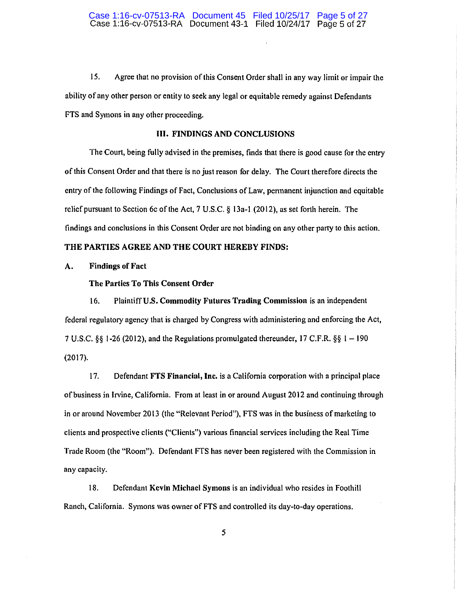15. Agree that no provision of this Consent Order shall in any way limit or impair the ability of any other person or entity to seek any legal or equitable remedy against Defendants FTS and Symons in any other proceeding.

#### Ill. FINDINGS AND CONCLUSIONS

The Court, being fully advised in the premises, finds that there is good cause for the entry of this Consent Order and that there is no just reason for delay. The Court therefore directs the entry of the following Findings of Fact, Conclusions of Law, permanent injunction and equitable relief pursuant to Section 6c of the Act, 7 U.S.C. § 13a-I (2012), as set forth herein. The findings and conclusions in this Consent Order are not binding on any other party to this action.

## THE PARTIES AGREE AND THE COURT HEREBY FINDS:

## A. Findings of Fact

#### The Parties To This Consent Order

16. Plaintiff U.S. Commodity Futures Trading Commission is an independent federal regulatory agency that is charged by Congress with administering and enforcing the Act, 7 U.S.C. §§ 1-26 (2012), and the Regulations promulgated thereunder, 17 C.F.R. §§ 1-190 (2017).

17. Defendant FTS Financial, Inc. is a California corporation with a principal place of business in Irvine, California. From at least in or around August 2012 and continuing through in or around November 2013 (the "Relevant Period"), FTS was in the business of marketing to clients and prospective clients ("Clients") various financial services including the Real Time Trade Room (the "Room"). Defendant FTS has never been registered with the Commission in any capacity.

18. Defendant Kevin Michael Symons is an individual who resides in Foothill Ranch, California. Symons was owner of FTS and controlled its day-to-day operations.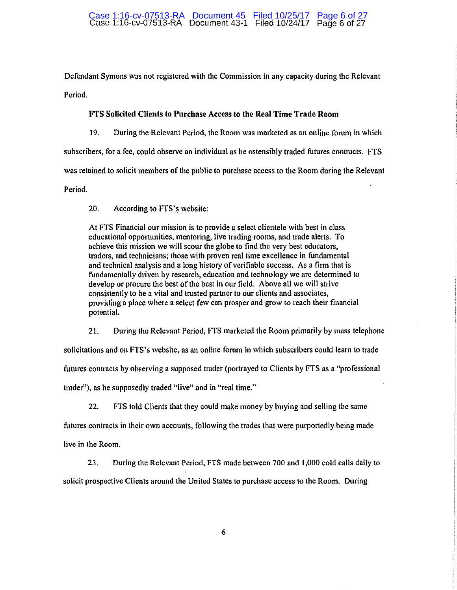#### Case 1:16-cv-07513-RA Document 45 Filed 10/25/17 Page 6 of 27 Case 1:16-cv-07513-RA Document 43-1 Filed 10/24/17 Page 6 of 27

Defendant Symons was not registered with the Commission in any capacity during the Relevant Period.

## FI'S Solicited Clients to Purchase Access to the Real Time Trade Room

19. During the Relevant Period, the Room was marketed as an online forum in which

subscribers, for a fee, could observe an individual as he ostensibly traded futures contracts. FTS

was retained to solicit members of the public to purchase access to the Room during the Relevant

Period.

20. According to FTS's website:

At FTS Financial our mission is to provide a select clientele with best in class educational opportunities, mentoring, live trading rooms, and trade alerts. To achieve this mission we will scour the globe to find the very best educators, traders, and technicians; those with proven real time excellence in fundamental and technical analysis and a long history of verifiable success. As a firm that is fundamentally driven by research, education and technology we arc determined to develop or procure the best of the best in our field. Above all we will strive consistently to be a vital and trusted partner to our clients and associates, providing a place where a select few can prosper and grow to reach their financial potential.

21. During the Relevant Period, FTS marketed the Room primarily by mass telephone

solicitations and on FTS's website, as an online forum in which subscribers could learn to trade

futures contracts by observing a supposed trader (portrayed to Clients by FTS as a "professional

trader"), as he supposedly traded "live" and in "real time."

22. FTS told Clients that they could make money by buying and selling the same

futures contracts in their own accounts, following the trades that were purportedly being made

live in the Room.

23. During the Relevant Period, FTS made between 700 and 1,000 cold calls daily to solicit prospective Clients around the United States to purchase access to the Room. During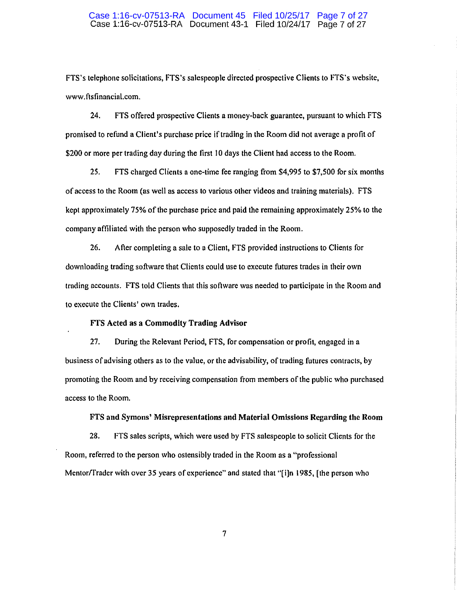#### Case 1:16-cv-07513-RA Document 45 Filed 10/25/17 Page 7 of 27 Case 1:16-cv-07513-RA Document 43-1 Filed 10/24/17 Page 7 of 27

FTS's telephone solicitations, FTS's salespeople directed prospective Clients to FTS's website, www .ftsfinancial.com.

24. FTS offered prospective Clients a money-back guarantee, pursuant to which FTS promised to refund a Client's purchase price if trading in the Room did not average a profit of \$200 or more per trading day during the first 10 days the Client had access to the Room.

25. FTS charged Clients a one-time fee ranging from \$4,995 to \$7,500 for six months of access to the Room (as well as access to various other videos and training materials). FTS kept approximately 75% of the purchase price and paid the remaining approximately 25% to the company affiliated with the person who supposedly traded in the Room.

26. After completing a sale to a Client, FTS provided instructions to Clients for downloading trading software that Clients could use to execute futures trades in their own trading accounts. FTS told Clients that this software was needed to participate in the Room and to execute the Clients' own trades.

#### FTS Acted as a Commodity Trading Advisor

27. During the Relevant Period, FTS, for compensation or profit, engaged in a business of advising others as to the value, or the advisability, of trading futures contracts, by promoting the Room and by receiving compensation from members of the public who purchased access to the Room.

#### FTS and Symons' Misrepresentations and Material Omissions Regarding the Room

28. FTS sales scripts, which were used by FTS salespeople to solicit Clients for the Room, referred to the person who ostensibly traded in the Room as a "professional Mcntorffrader with over 35 years of experience" and stated that "[i]n 1985, [the person who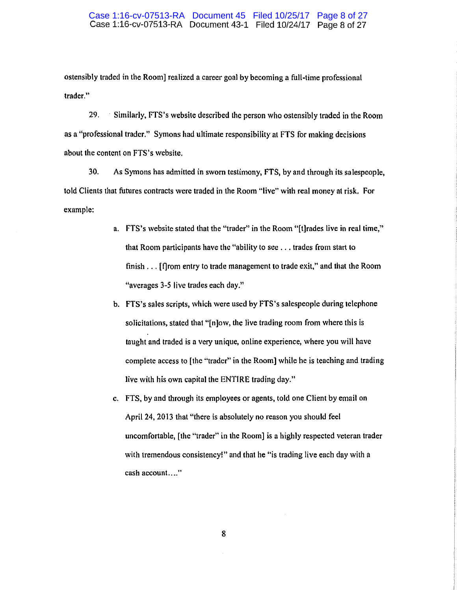#### Case 1:16-cv-07513-RA Document 45 Filed 10/25/17 Page 8 of 27 Case 1:16-cv-07513-RA Document 43-1 Filed 10/24/17 Page 8 of 27

ostensibly traded in the Room] realized a career goal by becoming a full-time professional trader."

29. Similarly, FTS's website described the person who ostensibly traded in the Room as a "professional trader." Symons had ultimate responsibility at FTS for making decisions about the content on FTS 's website.

30. As Symons has admitted in sworn testimony, FTS, by and through its salespeople, told Clients that futures contracts were traded in the Room "live" with real money at risk. For example:

- a. FTS's website stated that the "trader" in the Room "[t]rades live in real time," that Room participants have the "ability lo see ... trades from start to finish ... [f]rom entry to trade management to trade exit," and that the Room "averages 3-5 live trades each day."
- b. FTS's sales scripts, which were used by FTS's salespeople during telephone solicitations, stated that "[n]ow, the live trading room from where this is taught and traded is a very unique, online experience, where you will have complete access to [the "trader" in the Room] while he is teaching and trading live with his own capital the ENTIRE trading day."
- c. FTS, by and through its employees or agents, told one Client by email on April 24, 2013 that "there is absolutely no reason you should feel uncomfortable, [the "trader" in the Room] is a highly respected veteran trader with tremendous consistency!" and that he "is trading live each day with a **cash account. ... "**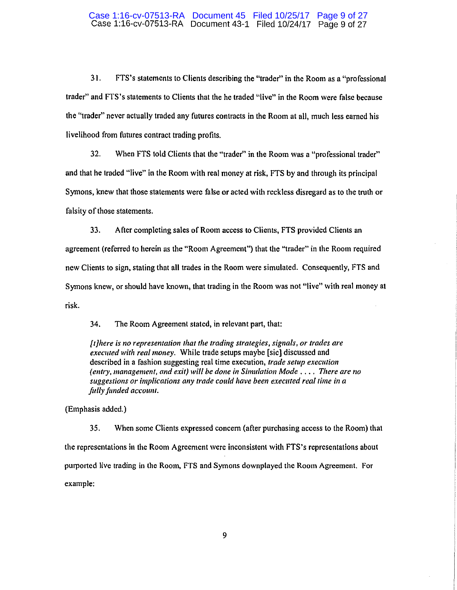### Case 1:16-cv-07513-RA Document 45 Filed 10/25/17 Page 9 of 27 Case 1:16-cv-07513-RA Document 43-1 Filed 10/24/17 Page 9 of 27

31. FTS's statements to Clients describing the "trader" in the Room as a "professional trader" and FTS's statements to Clients that the he traded "live" in the Room were false because the "trader" never actually traded any futures contracts in the Room at all, much less earned his livelihood from futures contract trading profits.

32. When FTS told Clients that the "trader" in the Room was a "professional trader" and that he traded "live" in the Room with real money at risk, FTS by and through its principal Symons, knew that those statements were false or acted with reckless disregard as to the truth or falsity of those statements.

33. After completing sales of Room access to Clients, FTS provided Clients an agreement (referred to herein as the "Room Agreement") that the "trader" in the Room required new Clients to sign, stating that all trades in the Room were simulated. Consequently, FTS and Symons knew, or should have known, that trading in the Room was not "live" with real money at risk.

34. The Room Agreement stated, in relevant part, that:

*[t]here is no representation that the trading strategies, signals, or trades are executed with real money.* While trade setups maybe [sic] discussed and described in a fashion suggesting real time execution, *trade setup execution (entry, management, and exit) will be done in Simulation Mode .... There are no suggestions or implications any trade could have been execwed real time in a fully funded accotml.* 

(Emphasis added.)

35. When some Clients expressed concern (after purchasing access to the Room) that the representations in the Room Agreement were inconsistent with FTS's representations about purported live trading in the Room, FTS and Symons downplayed the Room Agreement. For example: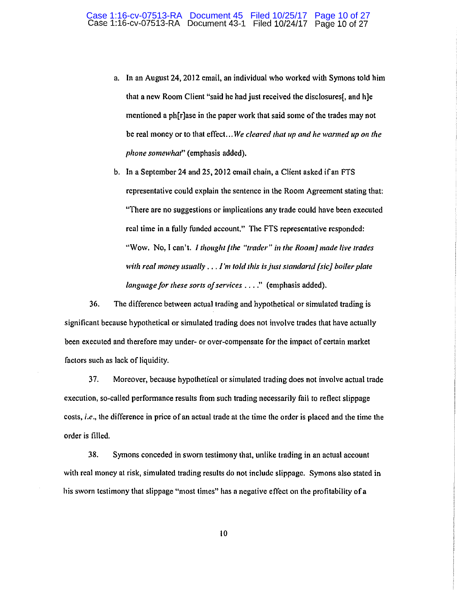- a. In an August 24, 2012 email, an individual who worked with Symons told him that a new Room Client "said he had just received the disclosures(, and h]e mentioned a ph[r]ase in the paper work that said some of the trades may not be real money or to that effect ... *We cleared tlrat up and Ire warmed up* 011 *the phone somewhat"* (emphasis added).
- b. In a September 24 and 25, 2012 email chain, a Client asked if an FTS representative could explain the sentence in the Room Agreement stating that: "There are no suggestions or implications any trade could have been executed real time in a fully funded account." The FTS representative responded: "Wow. No, I can't. *I thought [the "trader" in the Room] made live trades with real money usually ..* . *I'm told this isj11s1 slandand [sic] boiler p/a/e language for these sorts of services ....*" (emphasis added).

36. The difference between actual trading and hypothetical or simulated trading is significant because hypothetical or simulated trading does not involve trades that have actually been executed and therefore may under- or over-compensate for the impact of certain market factors such as lack of liquidity.

37. Moreover, because hypothetical or simulated trading does not involve actual trade execution, so-called performance results from such trading necessarily fail to reflect slippage costs, *i.e.,* the difference in price of an actual trade at the time the order is placed and the time the order is filled.

38. Symons conceded in sworn testimony that, unlike trading in an actual account with real money at risk, simulated trading results do not include slippage. Symons also stated in his sworn testimony that slippage "most times" has a negative effect on the profitability of a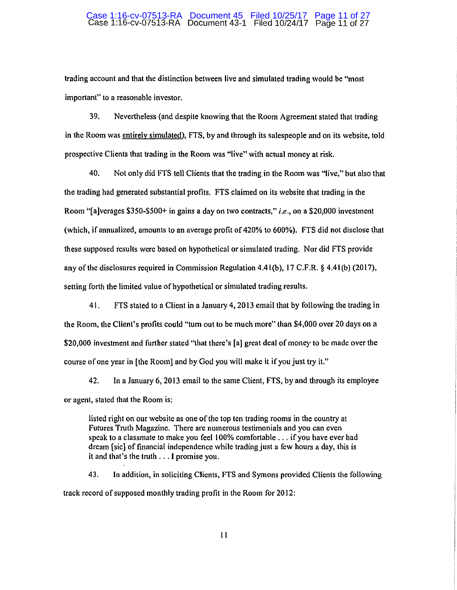#### Case 1:16-cv-07513-RA Document 45 Filed 10/25/17 Page 11 of 27 Case 1:16-cv-07513-RA Document 43-1 Filed 10/24/17 Page 11of27

trading account and that 1he distinction between live and simulated trading would be "most important" to a reasonable investor.

39. Nevertheless (and despite knowing that the Room Agreement stated that trading in the Room was entirely simulated), FTS, by and through its salespeople and on its website, told prospective Clients that trading in the Room was "live" with actual money at risk.

40. Not only did FTS tell Clients that the trading in the Room was "live," but also that the trading had generated substantial profits. FTS claimed on its website that trading in the Room "[a ]verages \$3 50-\$500+ in gains a day on two contracts," *i.e.,* on a \$20,000 investment (which, if annualized, amounts to an average profit of 420% to 600%). FTS did not disclose that these supposed results were based on hypothetical or simulated trading. Nor did FTS provide any of the disclosures required in Commission Regulation 4.41 (b), 17 C.F.R. § 4.41 (b) (2017), setting forth the limited value of hypothetical or simulated trading results.

41. FTS stated to a Client in a January 4, 2013 email that by following the trading in the Room, the Client's profits could "tum out to be much more" than \$4,000 over 20 days on a \$20,000 investment and further stated "that there's [a] great deal of money to be made over the course of one year in [the Room] and by God you will make it if you just try it."

42. Jn a January 6, 2013 email to the same Client, FTS, by and through its employee or agent, stated that the Room is:

listed right on our website as one of the top ten trading rooms in the country at Futures Truth Magazine. There are numerous testimonials and you can even speak to a classmate to make you feel 100% comfortable ... if you have ever had dream [sic] of financial independence while trading just a few hours a day, lhis is it and that's the truth ... 1 promise you.

43. In addition, in soliciting Clients, FTS and Symons provided Clients the following track record of supposed monthly trading profit in the Room for 2012: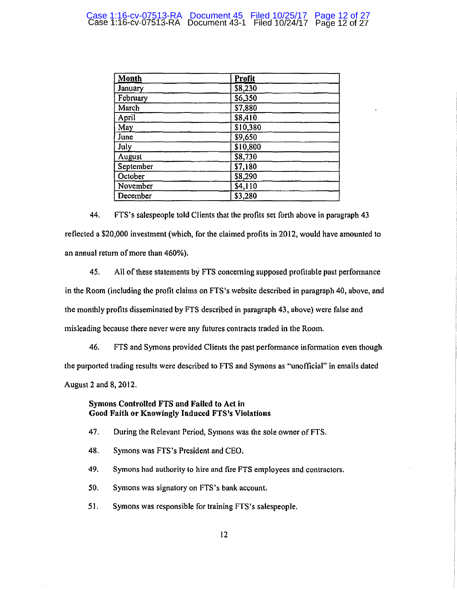| Month     | Profit   |  |
|-----------|----------|--|
| January   | \$8,230  |  |
| February  | \$6,350  |  |
| March     | \$7,880  |  |
| April     | \$8,410  |  |
| May       | \$10,380 |  |
| June      | \$9,650  |  |
| July      | \$10,800 |  |
| August    | \$8,730  |  |
| September | \$7,180  |  |
| October   | \$8,290  |  |
| November  | \$4,110  |  |
| December  | \$3,280  |  |

44. FTS's salespeople told Clients that the profits set forth above in paragraph 43 reflected a \$20,000 investment (which, for the claimed profits in 2012, would have amounted to an annual return of more than 460%).

45. All of these statements by FTS concerning supposed profitable past performance in the Room (including the profit claims on FTS's website described in paragraph 40, above, and the monthly profits disseminated by FTS described in paragraph 43, above) were false and misleading because there never were any futures contracts traded in the Room.

46. FTS and Symons provided Clients the past performance infonnation even though the purported trading results were described to FTS and Symons as "unofficial" in emails dated August 2 and 8, 2012.

## Symons Controlled FTS and Failed to Act in Good Faitlt or Knowingly Induced FTS's Violations

- 47. During the Relevant Period, Symons was the sole owner of FTS.
- 48. Symons was FTS's President and CEO.
- 49. Symons had authority to hire and fire FTS employees and contractors.
- 50. Symons was signatory on FTS's bank account.
- 5 I. Symons was responsible for training FTS 's salespeople.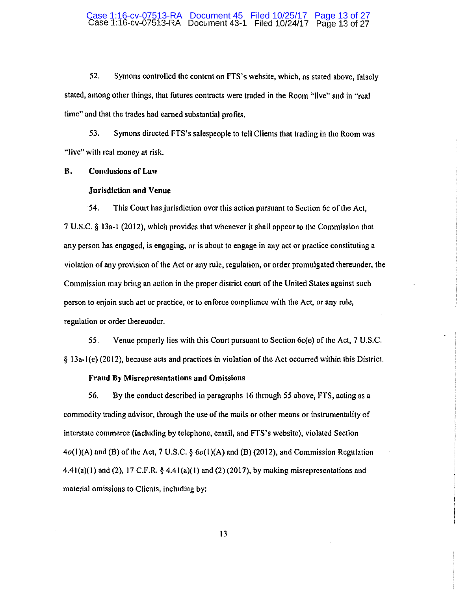#### Case 1:16-cv-07513-RA Document 45 Filed 10/25/17 Page 13 of 27 Case 1:16-cv-07513-RA Document 43-1 Filed 10/24/17 Page 13 of 27

52. Symons controlled the content on FTS's website, which, as stated above, falsely stated, among other things, that futures contracts were traded in the Room "live" and in "real time" and that the trades had earned substantial profits.

53. Symons directed FTS's salespeople to tell Clients that trading in the Room was "live" with real money at risk.

**B.** Conclusions or Law

#### Jurisdiction **and** Venue

·54. This Court has jurisdiction over this action pursuant to Section 6c of the Act, 7 U.S.C. § 13a-I (2012), which provides that whenever it shall appear to the Commission that any person has engaged, is engaging, or is about to engage in any act or practice constituting a violation of any provision of the Act or any rule, regulation, or order promulgated thereunder, the Commission may bring an action in the proper district court of the United States against such person to enjoin such act or practice, or to en force compliance with the Act, or any rule, regulation or order thereunder.

55. Venue properly lies with this Court pursuant to Section 6c(e) of the Act, 7 U.S.C. § 13a-l(e) (2012), because acts and practices in violation of the Act occurred within this District,

#### Fraud By Misrepresentations **and** Omissions

56. By the conduct described in paragraphs 16 through 55 above, FTS, acting as a commodity trading advisor, through the use of the mails or other means or instrumentality of interstate commerce (including by telephone, email, and FTS's website), violated Section  $4o(1)$ (A) and (B) of the Act, 7 U.S.C.  $\delta$   $6o(1)$ (A) and (B) (2012), and Commission Regulation 4.41(a)(1) and (2), 17 C.F.R.  $\S$  4.41(a)(1) and (2) (2017), by making misrepresentations and material omissions to Clients, including by: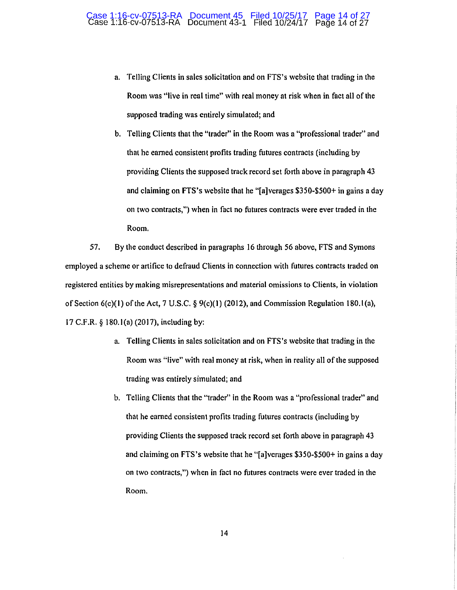a. Telling Clients in sales solicitation and on FTS's website that trading in the Room was "live in real time" with real money at risk when in fact all of the supposed trading was entirely simulated; and

b. Telling Clients that the "trader" in the Room was a "professional trader" and that he earned consistent profits trading futures contracts (including by providing Clients the supposed track record set forth above in paragraph 43 and claiming on FTS's website that he "[a]verages \$350-\$500+ in gains a day on two contracts,") when in fact no futures contracts were ever traded in the Room.

57. By the conduct described in paragraphs 16 through 56 above, FTS and Symons employed a scheme or artifice to defraud Clients in connection with futures contracts traded on registered entities by making misrepresentations and material omissions to Clients, in violation of Section  $6(c)(1)$  of the Act, 7 U.S.C. §  $9(c)(1)$  (2012), and Commission Regulation 180.1(a), 17 C.F.R. § 180.l(a) (2017), including by:

- a. Telling Clients in sales solicitation and on FTS's website that trading in the Room was "live" with real money at risk, when in reality all of the supposed trading was entirely simulated; and
- b. Telling Clients that the "trader" in the Room was a "professional trader" and that he earned consistent profits trading futures contracts (including by providing Clients the supposed track record set forth above in paragraph 43 and claiming on FTS's website that he "[a]verages \$350-\$500+ in gains a day on two contracts,") when in fact no futures contracts were ever traded in the Room.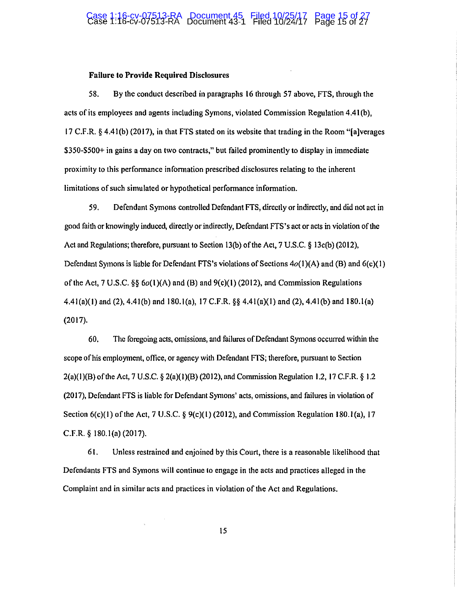## Case 1:16-cv-07513-RA Document 45 Filed 10/25/17 Page 15 of 27 Case 1:16-cv-07513-RA Document 43-1 Filed 10/24/17 Page 15 of 27

#### Failure to Provide Required Disclosures

58. By the conduct described in paragraphs 16 through 57 above, FTS, through the acts of its employees and agents including Symons, violated Commission Regulation 4.4l(b), 17 C.F.R. § 4.4l(b) (2017), in that FTS stated on its website that trading in the Room "(a]verages \$350-\$500+ in gains a day on two contracts," but failed prominently to display in immediate proximity to this performance infonnation prescribed disclosures relating to the inherent limitations of such simulated or hypothetical performance information.

59. Defendant Symons controlled Defendant FTS, directly or indirectly, and did not act in good faith or knowingly induced, directly or indirectly, Defendant FTS's act or acts in violation of the Act and Regulations; therefore, pursuant to Section 13(b) of the Act, 7 U.S.C. § 13c(b) (2012), Defendant Symons is liable for Defendant FTS's violations of Sections  $4o(1)(A)$  and  $(B)$  and  $6(c)(1)$ of the Act, 7 U.S.C.  $\S\S 6o(1)(A)$  and (B) and  $9(c)(1)(2012)$ , and Commission Regulations 4.41(a)(1) and (2), 4.41(b) and 180.1(a), 17 C.F.R.  $\S$  4.41(a)(1) and (2), 4.41(b) and 180.1(a) (2017).

60. The foregoing acts, omissions, and failures of Defendant Symons occurred within the scope of his employment, office, or agency with Defendant FTS; therefore, pursuant to Section 2(a)(1)(B) of the Act, 7 U.S.C. § 2(a)(1)(B)(2012), and Commission Regulation 1.2, 17 C.F.R. § 1.2 (20 I 7), Defendant FTS is liable for Defendant Symons' acts, omissions, and failures in violation of Section  $6(c)(1)$  of the Act, 7 U.S.C. §  $9(c)(1)$  (2012), and Commission Regulation 180.1(a), 17 C.F.R. § 180.l(a) (2017).

6 I. Unless restrained and enjoined by this Court, there is a reasonable likelihood that Defendants FTS and Symons will continue to engage in the acts and practices alleged in the Complaint and in similar acts and practices in violation of the Act and Regulations.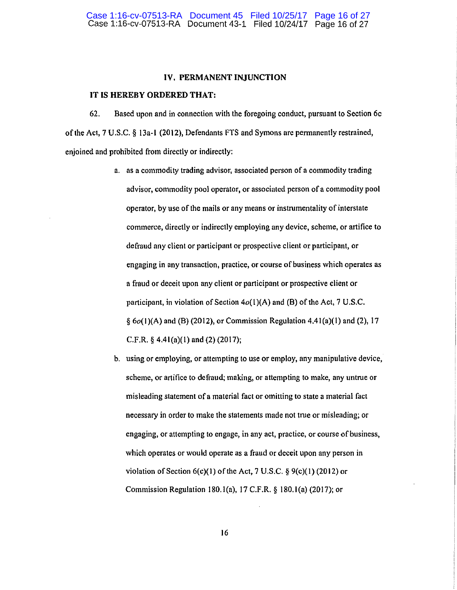#### **IV. PERMANENT INJUNCTION**

#### **IT IS HEREBY ORDERED THAT:**

62. Based upon and in connection with the foregoing conduct, pursuant to Section 6c of the Act, 7 U.S.C. § 13a-l (2012), Defendants FTS and Symons are permanently restrained, enjoined and prohibited from directly or indirectly:

- a. as a commodity trading advisor, associated person of a commodity trading advisor, commodity pool operator, or associated person of a commodity pool operator, by use of the mails or any means or instrumentality of interstate commerce, directly or indirectly employing any device, scheme, or artifice to defraud any client or participant or prospective client or participant, or engaging in any transaction, practice, or course of business which operates as a fraud or deceit upon any client or participant or prospective client or participant, in violation of Section  $4o(1)(A)$  and (B) of the Act, 7 U.S.C.  $\S$  6 $o(1)(A)$  and (B) (2012), or Commission Regulation 4.41(a)(1) and (2), 17 C.F.R.  $\S$  4.41(a)(1) and (2)(2017);
- b. using or employing, or attempting to use or employ, any manipulative device, scheme, or artifice to defraud; making, or attempting to make, any untrue or misleading statement ofa material fact or omitting to state a material fact necessary in order to make the statements made not true or misleading; or engaging, or attempting to engage, in any act, practice, or course of business, which operates or would operate as a fraud or deceit upon any person in violation of Section  $6(c)(1)$  of the Act, 7 U.S.C. §  $9(c)(1)$  (2012) or Commission Regulation 180.l(a), 17 C.F.R. § 180.l(a) (2017); or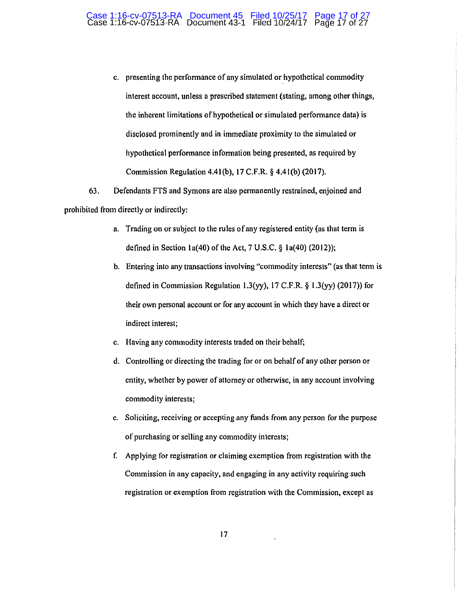#### Case 1:16-cv-07513-RA Document 45 Filed 10/25/17 Page 17 of 27 Case 1:16-cv-07513-RA Document 43-1 Filed 10/24/17 Page 17 of 27

c. presenting the performance of any simulated or hypothetical commodity interest account, unless a prescribed statement (stating, among other things, the inherent limitations of hypothetical or simulated performance data) is disclosed prominently and in immediate proximity to the simulated or hypothetical performance in formation being presented, as required by Commission Regulation 4.41(b), 17 C.F.R. § 4.41(b) (2017).

63. Defendants FTS and Symons are also permanently restrained, enjoined and prohibited from directly or indirectly:

- a. Trading on or subject to the rules of any registered entity (as that term is defined in Section 1a(40) of the Act,  $7 \text{ U.S.C.}$  § 1a(40) (2012));
- b. Entering into any transactions involving "commodity interests" (as that term is defined in Commission Regulation l.3(yy), 17 C.F.R. § l.3(yy) (2017)) for their own personal account or for any account in which they have a direct or indirect interest;
- c. Having any commodity interests traded on their behalf;
- d. Controlling or directing the trading for or on behalf of any other person or entity, whether by power of attorney or otherwise, in any account involving commodity interests;
- e. Soliciting, receiving or accepting any funds from any person for the purpose of purchasing or selling any commodity interests;
- f. Applying for registration or claiming exemption from registration with the Commission in any capacity, and engaging in any activity requiring such registration or exemption from registration with the Commission, except as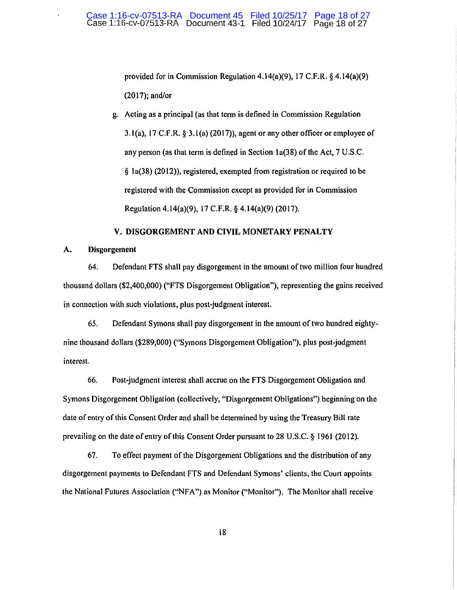provided for in Commission Regulation 4.14(a)(9), 17 C.F.R. § 4.14(a)(9) (2017); and/or

g. Acting as a principal (as that term is defined in Commission Regulation 3.1(a), 17 C.F.R. § 3.1(a) (2017)), agent or any other officer or employee of any person (as that term is defined in Section la(38) of the Act, 7 U.S.C. § la(38) (2012)), registered, exempted from registration or required to be registered with the Commission except as provided for in Commission Regulation 4.14(a)(9), 17 C.F.R. § 4.14(a)(9) (2017).

## **V. DISGORGEMENT AND CIVIL MONETARY PENALTY**

#### **A. Disgorgcmcnt**

64. Defendant FTS shall pay disgorgement in the amount of two million four hundred thousand dollars (\$2,400,000) ("FTS Disgorgement Obligation"), representing the gains received in connection with such violations, plus post-judgment interest.

65. Defendant Symons shall pay disgorgement in the amount of two hundred eightynine thousand dollars (\$289,000) ("Symons Disgorgement Obligation"), plus post-judgment interest.

66. Post-judgment interest shall accrue on the FTS Disgorgement Obligation and Symons Disgorgement Obligation (collectively, "Disgorgement Obligations") beginning on the date of entry of this Consent Order and shall be determined by using the Treasury Bill rate prevailing on the date of entry of this Consent Order pursuant to 28 U.S.C. § 1961 (2012).

67. To effect payment of the Disgorgement Obligations and the distribution of any disgorgement payments to Defendant FTS and Defendant Symons' clients, the Court appoints the National Futures Association ("NFA") as Monitor ("Monitor"). The Monitor shall receive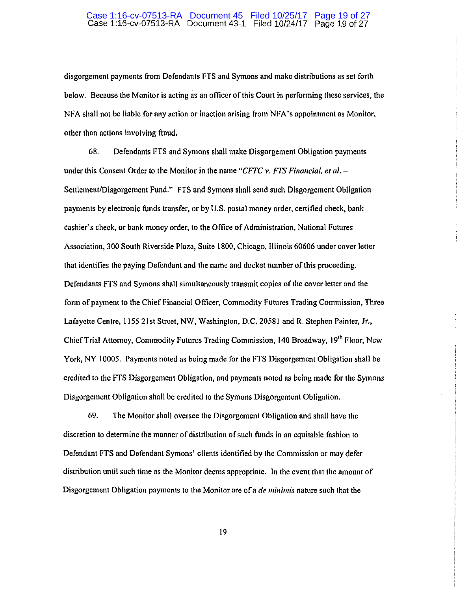#### Case 1:16-cv-07513-RA Document 45 Filed 10/25/17 Page 19 of 27 Case 1:16-cv-07513-RA Document 43-1 Filed 10/24117 Page 19 of 27

disgorgement payments from Defendants FTS and Symons and make distributions as set forth below. Because the Monitor is acting as an officer of this Court in performing these services, the NFA shall not be liable for any action or inaction arising from NFA 's appointment as Monitor, other than actions involving fraud.

68. Defendants FTS and Symons shall make Disgorgement Obligation payments under this Consent Order to the Monitor in the name *"CFTC v. FTS Financial, et al.* -Settlement/Disgorgement Fund." FTS and Symons shall send such Disgorgement Obligation payments by electronic funds transfer, or by U.S. postal money order, certified check, bank cashier's check, or bank money order, to the Office of Administration, National Futures Association, 300 South Riverside Plaza, Suite 1800, Chicago, Illinois 60606 under cover letter that identifies the paying Defendant and the name and docket number of this proceeding. Defendants FTS and Symons shall simultaneously transmit copies of the cover letter and the form of payment to the Chief Financial Officer, Commodity Futures Trading Commission, Three Lafayette Centre, 1155 21st Street, NW, Washington, D.C. 20581 and R. Stephen Painter, Jr., Chief Trial Attorney, Commodity Futures Trading Commission, 140 Broadway, 19<sup>th</sup> Floor, New York, NY I 0005. Payments noted as being made for the FTS Disgorgement Obligation shall be credited to the FTS Disgorgement Obligation, and payments noted as being made for the Symons Disgorgement Obligation shall be credited to the Symons Disgorgement Obligation.

69. The Monitor shall oversee the Disgorgement Obligation and shall have the discretion to determine the manner of distribution of such funds in an equitable fashion to Defendant FTS and Defendant Symons' clients identified by the Commission or may defer distribution until such time as the Monitor deems appropriate. In the event that the amount of Disgorgement Obligation payments to the Monitor are of a *de minimis* nature such that the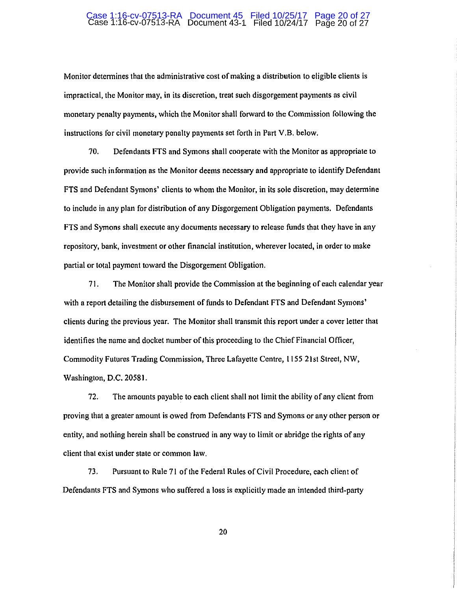#### Case 1:16-cv-07513-RA Document 45 Filed 10/25/17 Page 20 of 27 Case 1:16-cv-07513-RA Document 43-1 Filed 10/24/17 Page 20 of 27

Monitor detennines that the administrative cost of making a distribution to eligible clients is impractical, the Monitor may, in its discretion, treat such disgorgement payments as civil monetary penalty payments, which the Monitor shall forward to the Commission following the instructions for civil monetary penalty payments set forth in Part V.B. below.

70. Defendants FTS and Symons shall cooperate with the Monitor as appropriate to provide such information as the Monitor deems necessary and appropriate to identify Defendant FTS and Defendant Symons' clients to whom the Monitor, in its sole discretion, may detennine to include in any plan for distribution of any Disgorgement Obligation payments. Defendants FTS and Symons shall execute any documents necessary to release funds that they have in any repository, bank, investment or other financial institution, wherever located, in order to make partial or total payment toward the Disgorgement Obligation.

71. The Monitor shall provide the Commission at the beginning of each calendar year with a report detailing the disbursement of funds to Defendant FTS and Defendant Symons' clients during the previous year. The Monitor shall transmit this report under a cover letter that identifies the name and docket number of this proceeding to the Chief financial Officer, Commodity Futures Trading Commission, Three Lafayette Centre, 1155 21st Street, NW, Washington, D.C. 20581.

72. The amounts payable to each client shall not limit the ability of any client from proving that a greater amount is owed from Defendants FTS and Symons or any other person or entity, and nothing herein shall be construed in any way to limit or abridge the rights of any client that exist under state or common law.

73. Pursuant to Rule 71 of the Federal Rules of Civil Procedure, each client of Defendants FTS and Symons who suffered a loss is explicitly made an intended third-party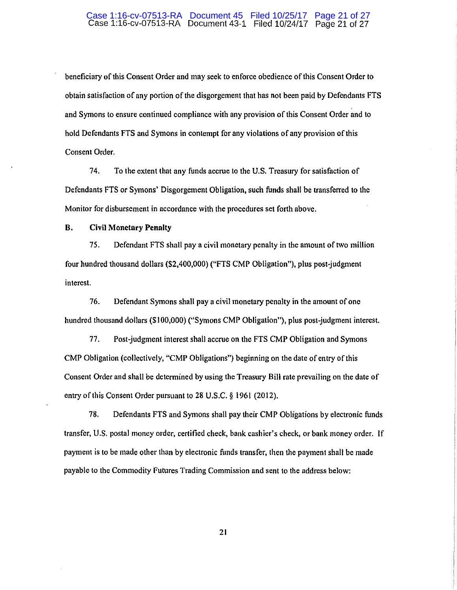#### Case 1:16-cv-07513-RA Document 45 Filed 10/25/17 Page 21 of 27 Case 1:16-cv-07513-RA Document 43-1 Filed 10/24/17 Page 21 of 27

beneficiary of this Consent Order and may seek to enforce obedience of this Consent Order to obtain satisfaction of any portion of the disgorgement that has not been paid by Defendants FTS and Symons to ensure continued compliance with any provision of this Consent Order and to hold Defendants FTS and Symons in contempt for any violations of any provision of this Consent Order.

74. To the extent that any funds accrue to the U.S. Treasury for satisfaction of Defendants FTS or Symons' Disgorgement Obligation, such funds shall be transferred to the Monitor for disbursement in accordance with the procedures set forth above.

#### **B. Civil Monetary Penalty**

75. Defendant FTS shall pay a civil monetary penalty in the amount of two million four hundred thousand dollars (\$2,400,000) ("FTS CMP Obligation"), plus post-judgment interest.

76. Defendant Symons shall pay a civil monetary penalty in the amount of one hundred thousand dollars (\$100,000) ("Symons CMP Obligation"), plus post-judgment interest.

77. Post-judgment interest shall accrue on the FTS CMP Obligation and Symons CMP Obligation (collectively, "CMP Obligations") beginning on the date of entry of this Consent Order and shall be determined by using the Treasury Bill rate prevailing on the date of entry of this Consent Order pursuant to 28 U.S.C. *§* 1961 (2012).

78. Defendants FTS and Symons shall pay their CMP Obligations by electronic funds transfer, U.S. postal money order, certified check, bank cashier's check, or bank money order. If payment is to be made other than by electronic funds transfer, then the payment shall be made payable to the Commodity Futures Trading Commission and sent to the address below: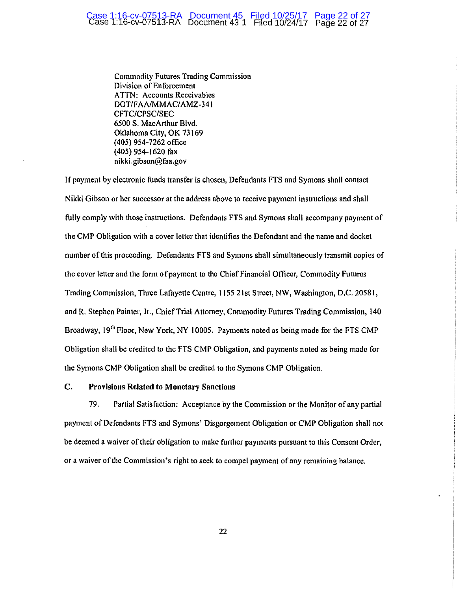#### Case 1:16-cv-07513-RA Document 45 Filed 10/25/17 Page 22 of 27 Case 1:16-cv-07513-RA Document 43-1 Filed 10/24/17 Page 22 of 27

Commodity Futures Trading Commission Division of Enforcement ATTN: Accounts Receivables DOT/FAA/MMAC/AMZ-341 CFTC/CPSC/SEC 6500 S. MacArthur Blvd. Oklahoma City, OK 73169 (405) 954-7262 office (405) 954-1620 fax nikki.gibson@faa.gov

If payment by electronic funds transfer is chosen, Defendants FTS and Symons shall contact Nikki Gibson or her successor at the address above to receive payment instructions and shall fully comply with those instructions. Defendants FTS and Symons shall accompany payment of the CMP Obligation with a cover letter that identifies the Defendant and the name and docket number of this proceeding. Defendants FTS and Symons shall simultaneously transmit copies of the cover letter and the form of payment to the Chief Financial Officer, Commodity Futures Trading Commission, Three Lafayette Centre, 1155 2 lst Street, NW, Washington, D.C. 20581, and R. Stephen Painter, Jr., Chief Trial Attorney, Commodity Futures Trading Commission, 140 Broadway, 19<sup>th</sup> Floor, New York, NY 10005. Payments noted as being made for the FTS CMP Obligation shall be credited to the FTS CMP Obligation, and payments noted as being made for the Symons CMP Obligation shall be credited to the Symons CMP Obligation.

#### C. Provisions Related to Monetary Sanctions

79. Partial Satisfaction: Acceptance by the Commission or the Monitor of any partial payment of Defendants FTS and Symons' Disgorgement Obligation or CMP Obligation shall not be deemed a waiver of their obligation to make further payments pursuant to this Consent Order, or a waiver of the Commission's right to seek to compel payment of any remaining balance.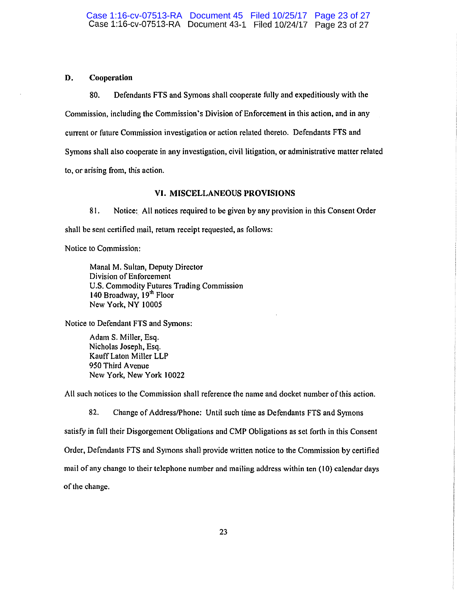## D. Cooperation

80. Defendants FTS and Symons shall cooperate fully and expeditiously with the Commission, including the Commission's Division of Enforcement in this action, and in any current or future Commission investigation or action related thereto. Defendants FTS and Symons shall also cooperate in any investigation, civil litigation, or administrative matter related to, or arising from, this action.

#### VI. MISCELLANEOUS PROVISIONS

81. Notice: All notices required to be given by any provision in this Consent Order shall be sent certified mail, return receipt requested, as follows:

Notice to Commission:

Manal M. Sultan, Deputy Director Division of Enforcement U.S. Commodity Futures Trading Commission 140 Broadway, 19<sup>th</sup> Floor New York, NY 10005

Notice to Defendant FTS and Symons:

Adam S. Miller, Esq. Nicholas Joseph, Esq. KauffLaton Miller LLP 950 Third A venue New York, New York 10022

All such notices to the Commission shall reference the name and docket number of this action.

82. Change of Address/Phone: Until such time as Defendants FTS and Symons satisfy in full their Disgorgement Obligations and CMP Obligations as set forth in this Consent Order, Defendants FTS and Symons shall provide written notice to the Commission by certified mail of any change to their telephone number and mailing address within ten (10) calendar days of the change.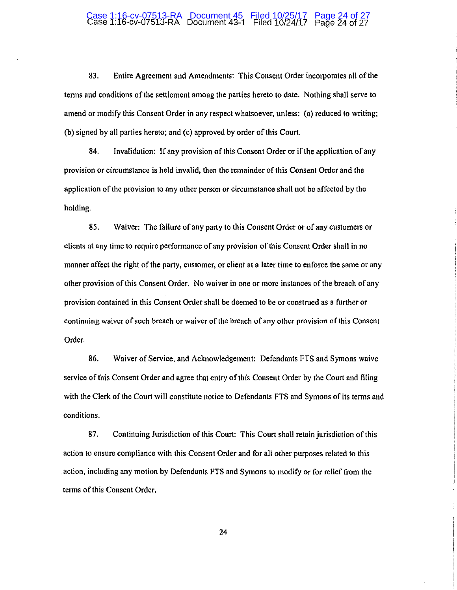#### Case 1:16-cv-07513-RA Document 45 Filed 10/25/17 Page 24 of 27 Case 1:16-cv-07513-RA Document 43-1 Filed 10/24/17 Page 24 of 27

83. Entire Agreement and Amendments: This Consent Order incorporates all of the terms and conditions of the settlement among the parties hereto to date. Nothing shall serve to amend or modify this Consent Order in any respect whatsoever, unless: (a) reduced to writing; (b) signed by all parties hereto; and (c) approved by order of this Court.

84. Invalidation: If any provision of this Consent Order or if the application of any provision or circumstance is held invalid, then the remainder of this Consent Order and the application of the provision to any other person or circumstance shall not be affected by the holding.

85. Waiver: The failure of any party to this Consent Order or of any customers or clients at any time to require performance of any provision of this Consent Order shall in no manner affect the right of the party, customer, or client at a later time to enforce the same or any other provision of this Consent Order. No waiver in one or more instances of the breach of any provision contained in this Consent Order shall be deemed to be or construed as a further or continuing waiver of such breach or waiver of the breach of any other provision of this Consent Order.

86. Waiver of Service, and Acknowledgement: Defendants FTS and Symons waive service of this Consent Order and agree that entry of this Consent Order by the Court and filing with the Clerk of the Court will constitute notice to Defendants FTS and Symons of its terms and conditions.

87. Continuing Jurisdiction of this Court: This Court shall retain jurisdiction of this action to ensure compliance with this Consent Order and for all other purposes related to this . action, including any motion by Defendants FTS and Symons to modify or for relief from the terms of this Consent Order.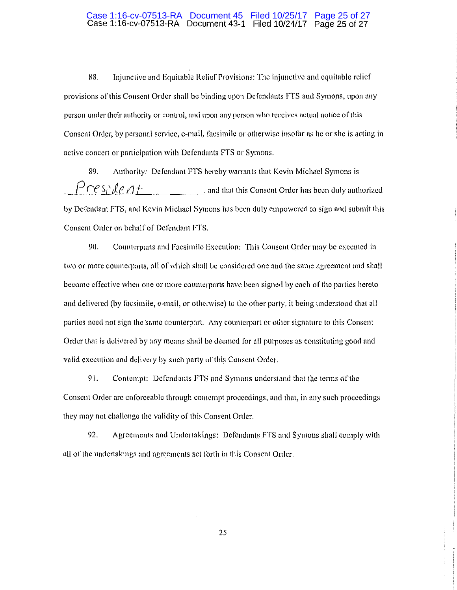#### Case 1:16-cv-07513-RA Document 45 Filed 10/25/17 Page 25 of 27 Case 1:16-cv-07513-RA Document 43-1 Filed 10/24/17 Page 25 of 27

88. Injunctive and Equitable Relief Provisions: The injunctive and equitable relief provisions of this Consent Order shall be binding upon Dcfondants FTS and Symons, upon any person under their authority or control, and upon any person who receives actual notice of this Consent Order, by personal service, e-mail, facsimile or otherwise insofar as he or she is acting in active concert or participation with Defendants FTS or Symons.

89. Authority: Defendant FTS hereby warrants that Kevin Michael Symons is  $H^{1} \cap e \rightarrow \mathbb{R}$  /  $\mathbb{R}$  /  $\mathbb{R}$  /  $f$  and that this Consent Order has been duly authorized by Defendant FTS, and Kevin Michael Symons has been duly empowered to sign and submit this Consent Order on behalf of Defendant FTS.

90. Counterparts and Facsimile Execution: This Consent Order may be executed in two or more counterparts, all of which shall be considered one and the same agreement and shall become effective when one or more counterparts have been signed by each of the parties hereto and delivered (by facsimile, e-mail, or otherwise) to the other party, it being understood that all parties need not sign the same counterpart. Any counterpart or other signature to this Consent Order that is delivered by any means shall be deemed for all purposes as constituting good and valid execution and delivery by such party of this Consent Order.

91. Contempt: Defendants FTS and Symons understand that the terms of the Consent Order arc enforceable through contempt proceedings, and that, in any such proceedings they may not challenge the validity of this Consent Order.

92. Agreements and Undertakings: Defendants FTS and Symons shall comply with all of the undertakings and agreements set forth in this Consent Order.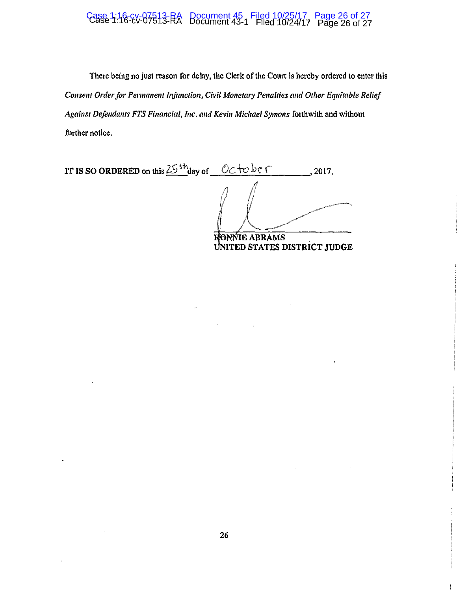# Case 1:16-cv-07513-RA Document 45 Filed 10/25/17 Page 26 of 27<br>Case 1:16-cv-07513-RA Document 43-1 Filed 10/24/17 Page 26 of 27

There being no just reason for delay, the Clerk of the Court is hereby ordered to enter this *Consent Order for Permanent Injunction, Civil Monetary Penalties and Other Equitable Relief* Against Defendants FTS Financial, Inc. and Kevin Michael Symons forthwith and without further notice.

**IT IS SO ORDERED** on this  $25$ <sup>th</sup> day of  $0 \leq \pm 0$  be f 2017. **IE ABRAMS** . **NITED STATES DISTRICT JUDGE**